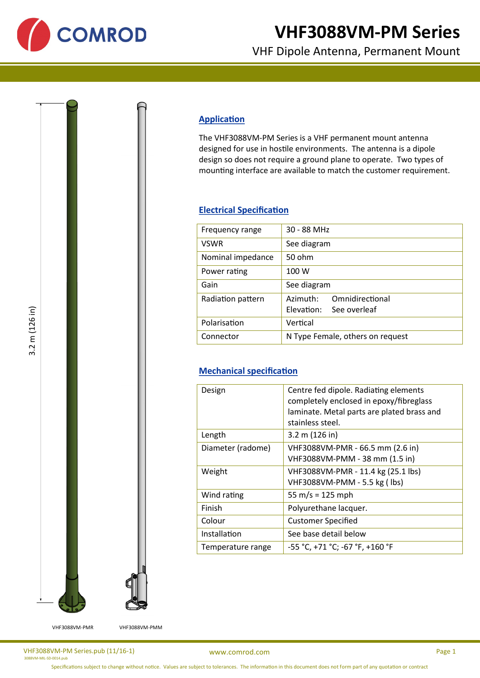

# **VHF3088VM-PM Series**

VHF Dipole Antenna, Permanent Mount

## **Application**

The VHF3088VM-PM Series is a VHF permanent mount antenna designed for use in hostile environments. The antenna is a dipole design so does not require a ground plane to operate. Two types of mounting interface are available to match the customer requirement.

#### **Electrical Specification**

| Frequency range   | 30 - 88 MHz                                            |
|-------------------|--------------------------------------------------------|
| <b>VSWR</b>       | See diagram                                            |
| Nominal impedance | 50 ohm                                                 |
| Power rating      | 100 W                                                  |
| Gain              | See diagram                                            |
| Radiation pattern | Omnidirectional<br>Azimuth:<br>Elevation: See overleaf |
| Polarisation      | Vertical                                               |
| Connector         | N Type Female, others on request                       |

### **Mechanical specification**

| Design            | Centre fed dipole. Radiating elements<br>completely enclosed in epoxy/fibreglass<br>laminate. Metal parts are plated brass and<br>stainless steel. |
|-------------------|----------------------------------------------------------------------------------------------------------------------------------------------------|
| Length            | 3.2 m (126 in)                                                                                                                                     |
| Diameter (radome) | VHF3088VM-PMR - 66.5 mm (2.6 in)<br>VHF3088VM-PMM - 38 mm (1.5 in)                                                                                 |
| Weight            | VHF3088VM-PMR - 11.4 kg (25.1 lbs)<br>VHF3088VM-PMM - 5.5 kg (lbs)                                                                                 |
| Wind rating       | 55 m/s = $125$ mph                                                                                                                                 |
| Finish            | Polyurethane lacquer.                                                                                                                              |
| Colour            | <b>Customer Specified</b>                                                                                                                          |
| Installation      | See base detail below                                                                                                                              |
| Temperature range | -55 °C, +71 °C; -67 °F, +160 °F                                                                                                                    |

1-MIL-SD-0014.pu

VHF3088VM-PMR VHF3088VM-PMM

VHF3088VM-PM Series.pub (11/16-1)

[www.comrod.com](http://www.comrod.com) Page 1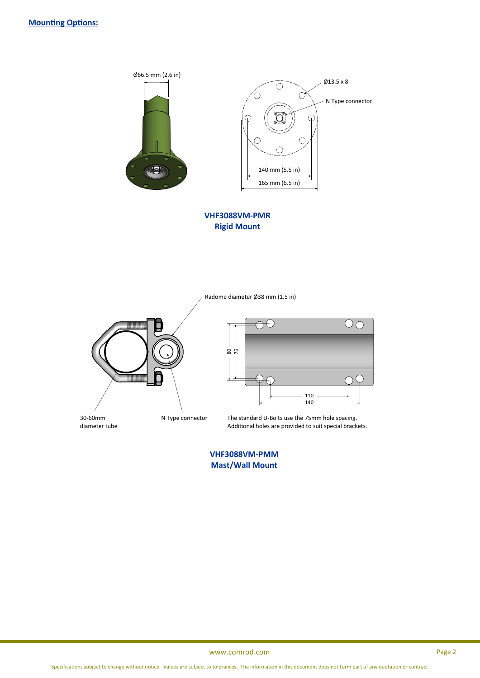

**VHF3088VM-PMR Rigid Mount**

Radome diameter Ø38 mm (1.5 in)



30-60mm diameter tube N Type connector

 $\overline{\bigcirc}$ 8075 110 140

The standard U-Bolts use the 75mm hole spacing. Additional holes are provided to suit special brackets.

**VHF3088VM-PMM Mast/Wall Mount**